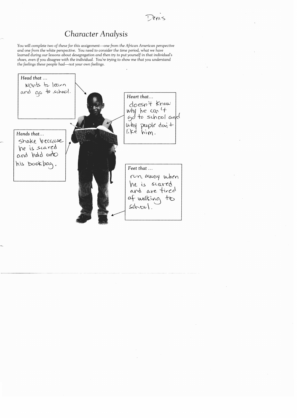## *Character Analysis*

*You will complete* two *of these for this* assignment-one *from the African American* perspective *and* one *from the white perspective. You need* to *consider the time* period, *what* we *have learned* during our *lessons about* desegregation *and then* try to put *yourself* in *that individual's shoes, even if* you *disagree with the individual.* You're trying to *show* me *that* you understand *the feelings these people had-not* your own *feelings.*